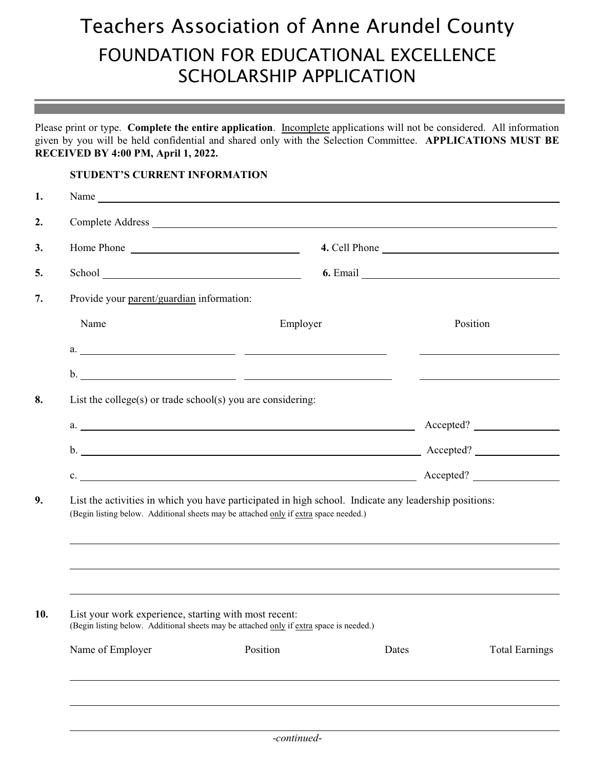## Teachers Association of Anne Arundel County FOUNDATION FOR EDUCATIONAL EXCELLENCE SCHOLARSHIP APPLICATION

Please print or type. **Complete the entire application**. Incomplete applications will not be considered. All information given by you will be held confidential and shared only with the Selection Committee. **APPLICATIONS MUST BE RECEIVED BY 4:00 PM, April 1, 2022.**

## **STUDENT'S CURRENT INFORMATION**

l

|                                                             | Name                                                                                                  |                                |  |  |  |  |
|-------------------------------------------------------------|-------------------------------------------------------------------------------------------------------|--------------------------------|--|--|--|--|
|                                                             | Complete Address                                                                                      |                                |  |  |  |  |
| Home Phone                                                  |                                                                                                       | 4. Cell Phone                  |  |  |  |  |
|                                                             |                                                                                                       |                                |  |  |  |  |
| Provide your parent/guardian information:                   |                                                                                                       |                                |  |  |  |  |
| Name                                                        | Employer                                                                                              | Position                       |  |  |  |  |
|                                                             |                                                                                                       |                                |  |  |  |  |
|                                                             |                                                                                                       |                                |  |  |  |  |
| List the college(s) or trade school(s) you are considering: |                                                                                                       |                                |  |  |  |  |
|                                                             | a. <u>Accepted?</u> Accepted.                                                                         |                                |  |  |  |  |
|                                                             |                                                                                                       |                                |  |  |  |  |
|                                                             | c. Accepted?                                                                                          |                                |  |  |  |  |
|                                                             | List the activities in which you have participated in high school. Indicate any leadership positions: |                                |  |  |  |  |
|                                                             | (Begin listing below. Additional sheets may be attached only if extra space needed.)                  |                                |  |  |  |  |
| List your work experience, starting with most recent:       | (Begin listing below. Additional sheets may be attached only if extra space is needed.)               |                                |  |  |  |  |
| Name of Employer                                            | Position                                                                                              | Dates<br><b>Total Earnings</b> |  |  |  |  |